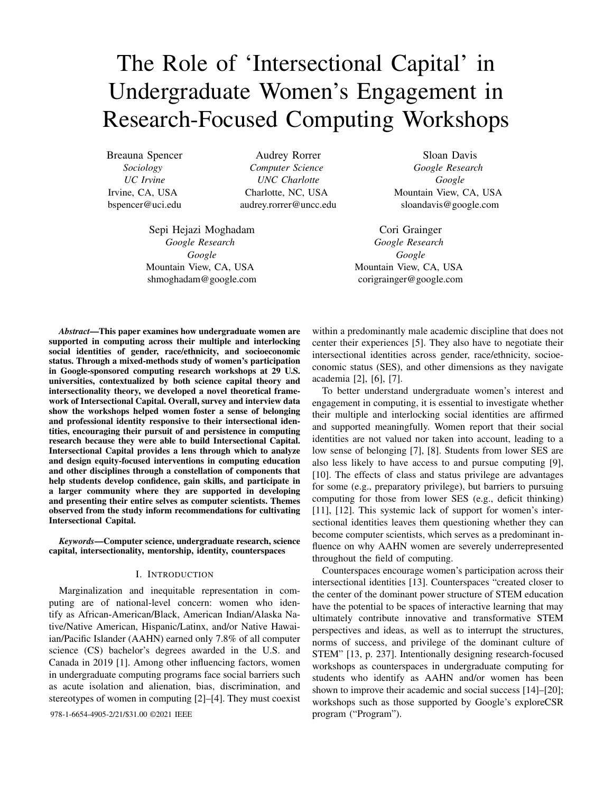# The Role of 'Intersectional Capital' in Undergraduate Women's Engagement in Research-Focused Computing Workshops

Breauna Spencer *Sociology UC Irvine* Irvine, CA, USA bspencer@uci.edu

Audrey Rorrer *Computer Science UNC Charlotte* Charlotte, NC, USA audrey.rorrer@uncc.edu

Sepi Hejazi Moghadam *Google Research Google* Mountain View, CA, USA shmoghadam@google.com

Sloan Davis *Google Research Google* Mountain View, CA, USA sloandavis@google.com

Cori Grainger *Google Research Google* Mountain View, CA, USA corigrainger@google.com

*Abstract*—This paper examines how undergraduate women are supported in computing across their multiple and interlocking social identities of gender, race/ethnicity, and socioeconomic status. Through a mixed-methods study of women's participation in Google-sponsored computing research workshops at 29 U.S. universities, contextualized by both science capital theory and intersectionality theory, we developed a novel theoretical framework of Intersectional Capital. Overall, survey and interview data show the workshops helped women foster a sense of belonging and professional identity responsive to their intersectional identities, encouraging their pursuit of and persistence in computing research because they were able to build Intersectional Capital. Intersectional Capital provides a lens through which to analyze and design equity-focused interventions in computing education and other disciplines through a constellation of components that help students develop confidence, gain skills, and participate in a larger community where they are supported in developing and presenting their entire selves as computer scientists. Themes observed from the study inform recommendations for cultivating Intersectional Capital.

*Keywords*—Computer science, undergraduate research, science capital, intersectionality, mentorship, identity, counterspaces

# I. INTRODUCTION

Marginalization and inequitable representation in computing are of national-level concern: women who identify as African-American/Black, American Indian/Alaska Native/Native American, Hispanic/Latinx, and/or Native Hawaiian/Pacific Islander (AAHN) earned only 7.8% of all computer science (CS) bachelor's degrees awarded in the U.S. and Canada in 2019 [1]. Among other influencing factors, women in undergraduate computing programs face social barriers such as acute isolation and alienation, bias, discrimination, and stereotypes of women in computing [2]–[4]. They must coexist

978-1-6654-4905-2/21/\$31.00 ©2021 IEEE program ("Program").

within a predominantly male academic discipline that does not center their experiences [5]. They also have to negotiate their intersectional identities across gender, race/ethnicity, socioeconomic status (SES), and other dimensions as they navigate academia [2], [6], [7].

To better understand undergraduate women's interest and engagement in computing, it is essential to investigate whether their multiple and interlocking social identities are affirmed and supported meaningfully. Women report that their social identities are not valued nor taken into account, leading to a low sense of belonging [7], [8]. Students from lower SES are also less likely to have access to and pursue computing [9], [10]. The effects of class and status privilege are advantages for some (e.g., preparatory privilege), but barriers to pursuing computing for those from lower SES (e.g., deficit thinking) [11], [12]. This systemic lack of support for women's intersectional identities leaves them questioning whether they can become computer scientists, which serves as a predominant influence on why AAHN women are severely underrepresented throughout the field of computing.

Counterspaces encourage women's participation across their intersectional identities [13]. Counterspaces "created closer to the center of the dominant power structure of STEM education have the potential to be spaces of interactive learning that may ultimately contribute innovative and transformative STEM perspectives and ideas, as well as to interrupt the structures, norms of success, and privilege of the dominant culture of STEM" [13, p. 237]. Intentionally designing research-focused workshops as counterspaces in undergraduate computing for students who identify as AAHN and/or women has been shown to improve their academic and social success [14]–[20]; workshops such as those supported by Google's exploreCSR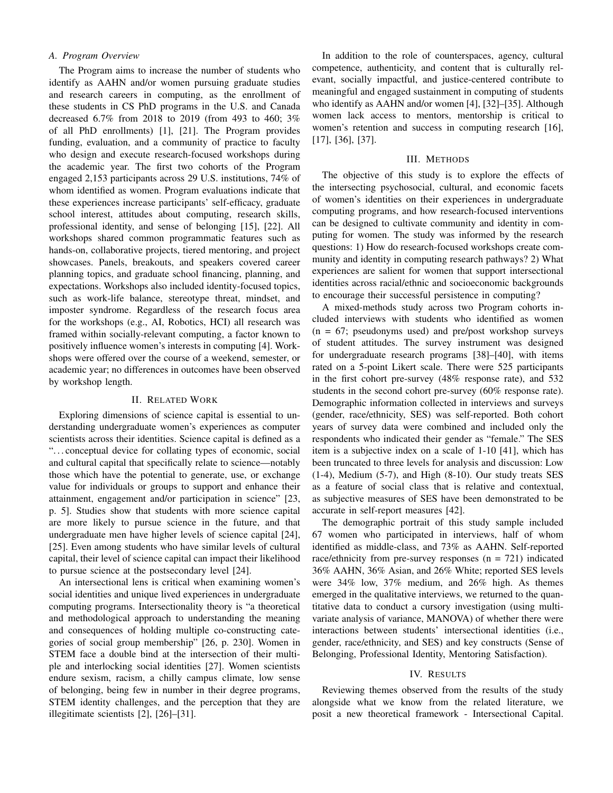# *A. Program Overview*

The Program aims to increase the number of students who identify as AAHN and/or women pursuing graduate studies and research careers in computing, as the enrollment of these students in CS PhD programs in the U.S. and Canada decreased 6.7% from 2018 to 2019 (from 493 to 460; 3% of all PhD enrollments) [1], [21]. The Program provides funding, evaluation, and a community of practice to faculty who design and execute research-focused workshops during the academic year. The first two cohorts of the Program engaged 2,153 participants across 29 U.S. institutions, 74% of whom identified as women. Program evaluations indicate that these experiences increase participants' self-efficacy, graduate school interest, attitudes about computing, research skills, professional identity, and sense of belonging [15], [22]. All workshops shared common programmatic features such as hands-on, collaborative projects, tiered mentoring, and project showcases. Panels, breakouts, and speakers covered career planning topics, and graduate school financing, planning, and expectations. Workshops also included identity-focused topics, such as work-life balance, stereotype threat, mindset, and imposter syndrome. Regardless of the research focus area for the workshops (e.g., AI, Robotics, HCI) all research was framed within socially-relevant computing, a factor known to positively influence women's interests in computing [4]. Workshops were offered over the course of a weekend, semester, or academic year; no differences in outcomes have been observed by workshop length.

# II. RELATED WORK

Exploring dimensions of science capital is essential to understanding undergraduate women's experiences as computer scientists across their identities. Science capital is defined as a ". . . conceptual device for collating types of economic, social and cultural capital that specifically relate to science—notably those which have the potential to generate, use, or exchange value for individuals or groups to support and enhance their attainment, engagement and/or participation in science" [23, p. 5]. Studies show that students with more science capital are more likely to pursue science in the future, and that undergraduate men have higher levels of science capital [24], [25]. Even among students who have similar levels of cultural capital, their level of science capital can impact their likelihood to pursue science at the postsecondary level [24].

An intersectional lens is critical when examining women's social identities and unique lived experiences in undergraduate computing programs. Intersectionality theory is "a theoretical and methodological approach to understanding the meaning and consequences of holding multiple co-constructing categories of social group membership" [26, p. 230]. Women in STEM face a double bind at the intersection of their multiple and interlocking social identities [27]. Women scientists endure sexism, racism, a chilly campus climate, low sense of belonging, being few in number in their degree programs, STEM identity challenges, and the perception that they are illegitimate scientists [2], [26]–[31].

In addition to the role of counterspaces, agency, cultural competence, authenticity, and content that is culturally relevant, socially impactful, and justice-centered contribute to meaningful and engaged sustainment in computing of students who identify as AAHN and/or women [4], [32]–[35]. Although women lack access to mentors, mentorship is critical to women's retention and success in computing research [16], [17], [36], [37].

# III. METHODS

The objective of this study is to explore the effects of the intersecting psychosocial, cultural, and economic facets of women's identities on their experiences in undergraduate computing programs, and how research-focused interventions can be designed to cultivate community and identity in computing for women. The study was informed by the research questions: 1) How do research-focused workshops create community and identity in computing research pathways? 2) What experiences are salient for women that support intersectional identities across racial/ethnic and socioeconomic backgrounds to encourage their successful persistence in computing?

A mixed-methods study across two Program cohorts included interviews with students who identified as women  $(n = 67;$  pseudonyms used) and pre/post workshop surveys of student attitudes. The survey instrument was designed for undergraduate research programs [38]–[40], with items rated on a 5-point Likert scale. There were 525 participants in the first cohort pre-survey (48% response rate), and 532 students in the second cohort pre-survey (60% response rate). Demographic information collected in interviews and surveys (gender, race/ethnicity, SES) was self-reported. Both cohort years of survey data were combined and included only the respondents who indicated their gender as "female." The SES item is a subjective index on a scale of 1-10 [41], which has been truncated to three levels for analysis and discussion: Low (1-4), Medium (5-7), and High (8-10). Our study treats SES as a feature of social class that is relative and contextual, as subjective measures of SES have been demonstrated to be accurate in self-report measures [42].

The demographic portrait of this study sample included 67 women who participated in interviews, half of whom identified as middle-class, and 73% as AAHN. Self-reported race/ethnicity from pre-survey responses  $(n = 721)$  indicated 36% AAHN, 36% Asian, and 26% White; reported SES levels were 34% low, 37% medium, and 26% high. As themes emerged in the qualitative interviews, we returned to the quantitative data to conduct a cursory investigation (using multivariate analysis of variance, MANOVA) of whether there were interactions between students' intersectional identities (i.e., gender, race/ethnicity, and SES) and key constructs (Sense of Belonging, Professional Identity, Mentoring Satisfaction).

#### IV. RESULTS

Reviewing themes observed from the results of the study alongside what we know from the related literature, we posit a new theoretical framework - Intersectional Capital.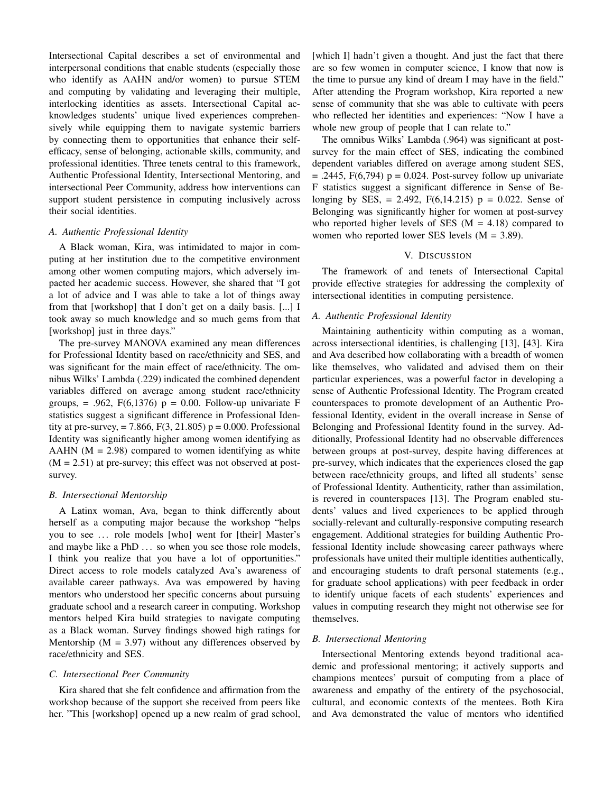Intersectional Capital describes a set of environmental and interpersonal conditions that enable students (especially those who identify as AAHN and/or women) to pursue STEM and computing by validating and leveraging their multiple, interlocking identities as assets. Intersectional Capital acknowledges students' unique lived experiences comprehensively while equipping them to navigate systemic barriers by connecting them to opportunities that enhance their selfefficacy, sense of belonging, actionable skills, community, and professional identities. Three tenets central to this framework, Authentic Professional Identity, Intersectional Mentoring, and intersectional Peer Community, address how interventions can support student persistence in computing inclusively across their social identities.

# *A. Authentic Professional Identity*

A Black woman, Kira, was intimidated to major in computing at her institution due to the competitive environment among other women computing majors, which adversely impacted her academic success. However, she shared that "I got a lot of advice and I was able to take a lot of things away from that [workshop] that I don't get on a daily basis. [...] I took away so much knowledge and so much gems from that [workshop] just in three days."

The pre-survey MANOVA examined any mean differences for Professional Identity based on race/ethnicity and SES, and was significant for the main effect of race/ethnicity. The omnibus Wilks' Lambda (.229) indicated the combined dependent variables differed on average among student race/ethnicity groups,  $= .962$ ,  $F(6,1376)$   $p = 0.00$ . Follow-up univariate F statistics suggest a significant difference in Professional Identity at pre-survey,  $= 7.866$ ,  $F(3, 21.805)$  p  $= 0.000$ . Professional Identity was significantly higher among women identifying as AAHN  $(M = 2.98)$  compared to women identifying as white  $(M = 2.51)$  at pre-survey; this effect was not observed at postsurvey.

### *B. Intersectional Mentorship*

A Latinx woman, Ava, began to think differently about herself as a computing major because the workshop "helps you to see ... role models [who] went for [their] Master's and maybe like a PhD ... so when you see those role models, I think you realize that you have a lot of opportunities." Direct access to role models catalyzed Ava's awareness of available career pathways. Ava was empowered by having mentors who understood her specific concerns about pursuing graduate school and a research career in computing. Workshop mentors helped Kira build strategies to navigate computing as a Black woman. Survey findings showed high ratings for Mentorship ( $M = 3.97$ ) without any differences observed by race/ethnicity and SES.

# *C. Intersectional Peer Community*

Kira shared that she felt confidence and affirmation from the workshop because of the support she received from peers like her. "This [workshop] opened up a new realm of grad school, [which I] hadn't given a thought. And just the fact that there are so few women in computer science, I know that now is the time to pursue any kind of dream I may have in the field." After attending the Program workshop, Kira reported a new sense of community that she was able to cultivate with peers who reflected her identities and experiences: "Now I have a whole new group of people that I can relate to."

The omnibus Wilks' Lambda (.964) was significant at postsurvey for the main effect of SES, indicating the combined dependent variables differed on average among student SES,  $=$  .2445, F(6,794) p = 0.024. Post-survey follow up univariate F statistics suggest a significant difference in Sense of Belonging by SES, = 2.492,  $F(6,14.215)$  p = 0.022. Sense of Belonging was significantly higher for women at post-survey who reported higher levels of SES ( $M = 4.18$ ) compared to women who reported lower SES levels (M = 3.89).

#### V. DISCUSSION

The framework of and tenets of Intersectional Capital provide effective strategies for addressing the complexity of intersectional identities in computing persistence.

#### *A. Authentic Professional Identity*

Maintaining authenticity within computing as a woman, across intersectional identities, is challenging [13], [43]. Kira and Ava described how collaborating with a breadth of women like themselves, who validated and advised them on their particular experiences, was a powerful factor in developing a sense of Authentic Professional Identity. The Program created counterspaces to promote development of an Authentic Professional Identity, evident in the overall increase in Sense of Belonging and Professional Identity found in the survey. Additionally, Professional Identity had no observable differences between groups at post-survey, despite having differences at pre-survey, which indicates that the experiences closed the gap between race/ethnicity groups, and lifted all students' sense of Professional Identity. Authenticity, rather than assimilation, is revered in counterspaces [13]. The Program enabled students' values and lived experiences to be applied through socially-relevant and culturally-responsive computing research engagement. Additional strategies for building Authentic Professional Identity include showcasing career pathways where professionals have united their multiple identities authentically, and encouraging students to draft personal statements (e.g., for graduate school applications) with peer feedback in order to identify unique facets of each students' experiences and values in computing research they might not otherwise see for themselves.

# *B. Intersectional Mentoring*

Intersectional Mentoring extends beyond traditional academic and professional mentoring; it actively supports and champions mentees' pursuit of computing from a place of awareness and empathy of the entirety of the psychosocial, cultural, and economic contexts of the mentees. Both Kira and Ava demonstrated the value of mentors who identified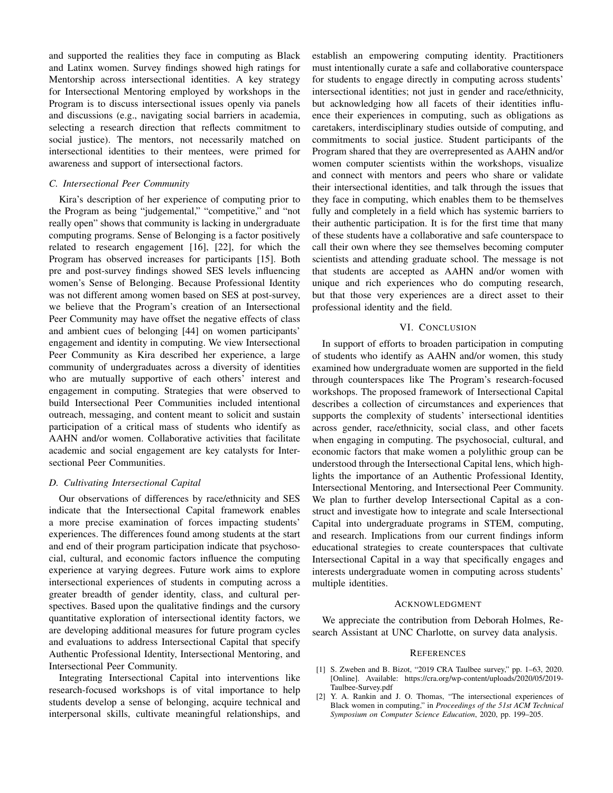and supported the realities they face in computing as Black and Latinx women. Survey findings showed high ratings for Mentorship across intersectional identities. A key strategy for Intersectional Mentoring employed by workshops in the Program is to discuss intersectional issues openly via panels and discussions (e.g., navigating social barriers in academia, selecting a research direction that reflects commitment to social justice). The mentors, not necessarily matched on intersectional identities to their mentees, were primed for awareness and support of intersectional factors.

# *C. Intersectional Peer Community*

Kira's description of her experience of computing prior to the Program as being "judgemental," "competitive," and "not really open" shows that community is lacking in undergraduate computing programs. Sense of Belonging is a factor positively related to research engagement [16], [22], for which the Program has observed increases for participants [15]. Both pre and post-survey findings showed SES levels influencing women's Sense of Belonging. Because Professional Identity was not different among women based on SES at post-survey, we believe that the Program's creation of an Intersectional Peer Community may have offset the negative effects of class and ambient cues of belonging [44] on women participants' engagement and identity in computing. We view Intersectional Peer Community as Kira described her experience, a large community of undergraduates across a diversity of identities who are mutually supportive of each others' interest and engagement in computing. Strategies that were observed to build Intersectional Peer Communities included intentional outreach, messaging, and content meant to solicit and sustain participation of a critical mass of students who identify as AAHN and/or women. Collaborative activities that facilitate academic and social engagement are key catalysts for Intersectional Peer Communities.

#### *D. Cultivating Intersectional Capital*

Our observations of differences by race/ethnicity and SES indicate that the Intersectional Capital framework enables a more precise examination of forces impacting students' experiences. The differences found among students at the start and end of their program participation indicate that psychosocial, cultural, and economic factors influence the computing experience at varying degrees. Future work aims to explore intersectional experiences of students in computing across a greater breadth of gender identity, class, and cultural perspectives. Based upon the qualitative findings and the cursory quantitative exploration of intersectional identity factors, we are developing additional measures for future program cycles and evaluations to address Intersectional Capital that specify Authentic Professional Identity, Intersectional Mentoring, and Intersectional Peer Community.

Integrating Intersectional Capital into interventions like research-focused workshops is of vital importance to help students develop a sense of belonging, acquire technical and interpersonal skills, cultivate meaningful relationships, and establish an empowering computing identity. Practitioners must intentionally curate a safe and collaborative counterspace for students to engage directly in computing across students' intersectional identities; not just in gender and race/ethnicity, but acknowledging how all facets of their identities influence their experiences in computing, such as obligations as caretakers, interdisciplinary studies outside of computing, and commitments to social justice. Student participants of the Program shared that they are overrepresented as AAHN and/or women computer scientists within the workshops, visualize and connect with mentors and peers who share or validate their intersectional identities, and talk through the issues that they face in computing, which enables them to be themselves fully and completely in a field which has systemic barriers to their authentic participation. It is for the first time that many of these students have a collaborative and safe counterspace to call their own where they see themselves becoming computer scientists and attending graduate school. The message is not that students are accepted as AAHN and/or women with unique and rich experiences who do computing research, but that those very experiences are a direct asset to their professional identity and the field.

#### VI. CONCLUSION

In support of efforts to broaden participation in computing of students who identify as AAHN and/or women, this study examined how undergraduate women are supported in the field through counterspaces like The Program's research-focused workshops. The proposed framework of Intersectional Capital describes a collection of circumstances and experiences that supports the complexity of students' intersectional identities across gender, race/ethnicity, social class, and other facets when engaging in computing. The psychosocial, cultural, and economic factors that make women a polylithic group can be understood through the Intersectional Capital lens, which highlights the importance of an Authentic Professional Identity, Intersectional Mentoring, and Intersectional Peer Community. We plan to further develop Intersectional Capital as a construct and investigate how to integrate and scale Intersectional Capital into undergraduate programs in STEM, computing, and research. Implications from our current findings inform educational strategies to create counterspaces that cultivate Intersectional Capital in a way that specifically engages and interests undergraduate women in computing across students' multiple identities.

#### ACKNOWLEDGMENT

We appreciate the contribution from Deborah Holmes, Research Assistant at UNC Charlotte, on survey data analysis.

#### **REFERENCES**

- [1] S. Zweben and B. Bizot, "2019 CRA Taulbee survey," pp. 1-63, 2020. [Online]. Available: https://cra.org/wp-content/uploads/2020/05/2019- Taulbee-Survey.pdf
- [2] Y. A. Rankin and J. O. Thomas, "The intersectional experiences of Black women in computing," in *Proceedings of the 51st ACM Technical Symposium on Computer Science Education*, 2020, pp. 199–205.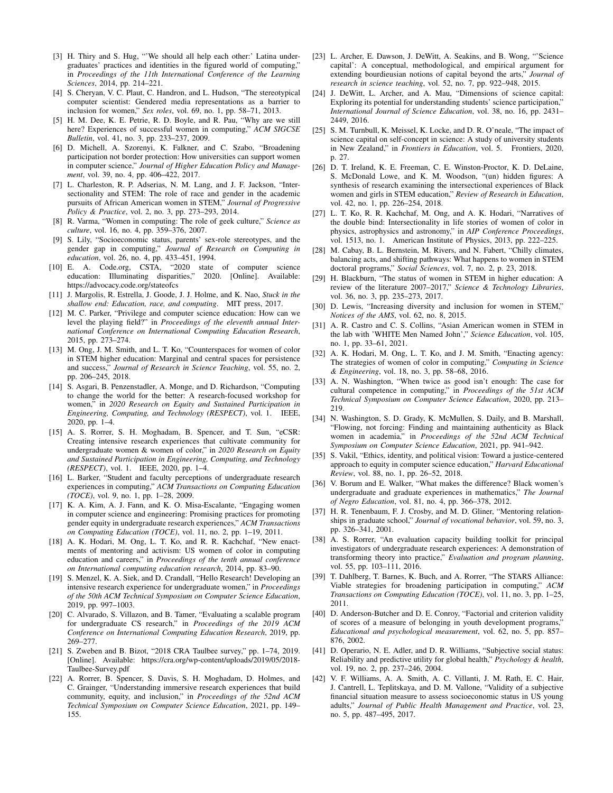- [3] H. Thiry and S. Hug, "'We should all help each other:' Latina undergraduates' practices and identities in the figured world of computing," in *Proceedings of the 11th International Conference of the Learning Sciences*, 2014, pp. 214–221.
- [4] S. Cheryan, V. C. Plaut, C. Handron, and L. Hudson, "The stereotypical computer scientist: Gendered media representations as a barrier to inclusion for women," *Sex roles*, vol. 69, no. 1, pp. 58–71, 2013.
- [5] H. M. Dee, K. E. Petrie, R. D. Boyle, and R. Pau, "Why are we still here? Experiences of successful women in computing," *ACM SIGCSE Bulletin*, vol. 41, no. 3, pp. 233–237, 2009.
- [6] D. Michell, A. Szorenyi, K. Falkner, and C. Szabo, "Broadening participation not border protection: How universities can support women in computer science," *Journal of Higher Education Policy and Management*, vol. 39, no. 4, pp. 406–422, 2017.
- [7] L. Charleston, R. P. Adserias, N. M. Lang, and J. F. Jackson, "Intersectionality and STEM: The role of race and gender in the academic pursuits of African American women in STEM," *Journal of Progressive Policy & Practice*, vol. 2, no. 3, pp. 273–293, 2014.
- [8] R. Varma, "Women in computing: The role of geek culture," *Science as culture*, vol. 16, no. 4, pp. 359–376, 2007.
- [9] S. Lily, "Socioeconomic status, parents' sex-role stereotypes, and the gender gap in computing," *Journal of Research on Computing in education*, vol. 26, no. 4, pp. 433–451, 1994.
- [10] E. A. Code.org, CSTA, "2020 state of computer science education: Illuminating disparities," 2020. [Online]. Available: https://advocacy.code.org/stateofcs
- [11] J. Margolis, R. Estrella, J. Goode, J. J. Holme, and K. Nao, *Stuck in the shallow end: Education, race, and computing*. MIT press, 2017.
- [12] M. C. Parker, "Privilege and computer science education: How can we level the playing field?" in *Proceedings of the eleventh annual International Conference on International Computing Education Research*, 2015, pp. 273–274.
- [13] M. Ong, J. M. Smith, and L. T. Ko, "Counterspaces for women of color in STEM higher education: Marginal and central spaces for persistence and success," *Journal of Research in Science Teaching*, vol. 55, no. 2, pp. 206–245, 2018.
- [14] S. Asgari, B. Penzenstadler, A. Monge, and D. Richardson, "Computing to change the world for the better: A research-focused workshop for women," in *2020 Research on Equity and Sustained Participation in Engineering, Computing, and Technology (RESPECT)*, vol. 1. IEEE, 2020, pp. 1–4.
- [15] A. S. Rorrer, S. H. Moghadam, B. Spencer, and T. Sun, "eCSR: Creating intensive research experiences that cultivate community for undergraduate women & women of color," in *2020 Research on Equity and Sustained Participation in Engineering, Computing, and Technology (RESPECT)*, vol. 1. IEEE, 2020, pp. 1–4.
- [16] L. Barker, "Student and faculty perceptions of undergraduate research experiences in computing," *ACM Transactions on Computing Education (TOCE)*, vol. 9, no. 1, pp. 1–28, 2009.
- [17] K. A. Kim, A. J. Fann, and K. O. Misa-Escalante, "Engaging women in computer science and engineering: Promising practices for promoting gender equity in undergraduate research experiences," *ACM Transactions on Computing Education (TOCE)*, vol. 11, no. 2, pp. 1–19, 2011.
- [18] A. K. Hodari, M. Ong, L. T. Ko, and R. R. Kachchaf, "New enactments of mentoring and activism: US women of color in computing education and careers," in *Proceedings of the tenth annual conference on International computing education research*, 2014, pp. 83–90.
- [19] S. Menzel, K. A. Siek, and D. Crandall, "Hello Research! Developing an intensive research experience for undergraduate women," in *Proceedings of the 50th ACM Technical Symposium on Computer Science Education*, 2019, pp. 997–1003.
- [20] C. Alvarado, S. Villazon, and B. Tamer, "Evaluating a scalable program for undergraduate CS research," in *Proceedings of the 2019 ACM Conference on International Computing Education Research*, 2019, pp. 269–277.
- [21] S. Zweben and B. Bizot, "2018 CRA Taulbee survey," pp. 1–74, 2019. [Online]. Available: https://cra.org/wp-content/uploads/2019/05/2018- Taulbee-Survey.pdf
- [22] A. Rorrer, B. Spencer, S. Davis, S. H. Moghadam, D. Holmes, and C. Grainger, "Understanding immersive research experiences that build community, equity, and inclusion," in *Proceedings of the 52nd ACM Technical Symposium on Computer Science Education*, 2021, pp. 149– 155.
- [23] L. Archer, E. Dawson, J. DeWitt, A. Seakins, and B. Wong, "'Science capital': A conceptual, methodological, and empirical argument for extending bourdieusian notions of capital beyond the arts," *Journal of research in science teaching*, vol. 52, no. 7, pp. 922–948, 2015.
- [24] J. DeWitt, L. Archer, and A. Mau, "Dimensions of science capital: Exploring its potential for understanding students' science participation," *International Journal of Science Education*, vol. 38, no. 16, pp. 2431– 2449, 2016.
- [25] S. M. Turnbull, K. Meissel, K. Locke, and D. R. O'neale, "The impact of science capital on self-concept in science: A study of university students in New Zealand," in *Frontiers in Education*, vol. 5. Frontiers, 2020, p. 27.
- [26] D. T. Ireland, K. E. Freeman, C. E. Winston-Proctor, K. D. DeLaine, S. McDonald Lowe, and K. M. Woodson, "(un) hidden figures: A synthesis of research examining the intersectional experiences of Black women and girls in STEM education," *Review of Research in Education*, vol. 42, no. 1, pp. 226–254, 2018.
- [27] L. T. Ko, R. R. Kachchaf, M. Ong, and A. K. Hodari, "Narratives of the double bind: Intersectionality in life stories of women of color in physics, astrophysics and astronomy," in *AIP Conference Proceedings*, vol. 1513, no. 1. American Institute of Physics, 2013, pp. 222–225.
- [28] M. Cabay, B. L. Bernstein, M. Rivers, and N. Fabert, "Chilly climates, balancing acts, and shifting pathways: What happens to women in STEM doctoral programs," *Social Sciences*, vol. 7, no. 2, p. 23, 2018.
- [29] H. Blackburn, "The status of women in STEM in higher education: A review of the literature 2007–2017," *Science & Technology Libraries*, vol. 36, no. 3, pp. 235–273, 2017.
- [30] D. Lewis, "Increasing diversity and inclusion for women in STEM," *Notices of the AMS*, vol. 62, no. 8, 2015.
- [31] A. R. Castro and C. S. Collins, "Asian American women in STEM in the lab with 'WHITE Men Named John'," *Science Education*, vol. 105, no. 1, pp. 33–61, 2021.
- [32] A. K. Hodari, M. Ong, L. T. Ko, and J. M. Smith, "Enacting agency: The strategies of women of color in computing," *Computing in Science & Engineering*, vol. 18, no. 3, pp. 58–68, 2016.
- [33] A. N. Washington, "When twice as good isn't enough: The case for cultural competence in computing," in *Proceedings of the 51st ACM Technical Symposium on Computer Science Education*, 2020, pp. 213– 219.
- [34] N. Washington, S. D. Grady, K. McMullen, S. Daily, and B. Marshall, "Flowing, not forcing: Finding and maintaining authenticity as Black women in academia," in *Proceedings of the 52nd ACM Technical Symposium on Computer Science Education*, 2021, pp. 941–942.
- [35] S. Vakil, "Ethics, identity, and political vision: Toward a justice-centered approach to equity in computer science education," *Harvard Educational Review*, vol. 88, no. 1, pp. 26–52, 2018.
- [36] V. Borum and E. Walker, "What makes the difference? Black women's undergraduate and graduate experiences in mathematics," *The Journal of Negro Education*, vol. 81, no. 4, pp. 366–378, 2012.
- [37] H. R. Tenenbaum, F. J. Crosby, and M. D. Gliner, "Mentoring relationships in graduate school," *Journal of vocational behavior*, vol. 59, no. 3, pp. 326–341, 2001.
- [38] A. S. Rorrer, "An evaluation capacity building toolkit for principal investigators of undergraduate research experiences: A demonstration of transforming theory into practice," *Evaluation and program planning*, vol. 55, pp. 103–111, 2016.
- [39] T. Dahlberg, T. Barnes, K. Buch, and A. Rorrer, "The STARS Alliance: Viable strategies for broadening participation in computing," *ACM Transactions on Computing Education (TOCE)*, vol. 11, no. 3, pp. 1–25, 2011.
- [40] D. Anderson-Butcher and D. E. Conroy, "Factorial and criterion validity of scores of a measure of belonging in youth development programs, *Educational and psychological measurement*, vol. 62, no. 5, pp. 857– 876, 2002.
- [41] D. Operario, N. E. Adler, and D. R. Williams, "Subjective social status: Reliability and predictive utility for global health," *Psychology & health*, vol. 19, no. 2, pp. 237–246, 2004.
- [42] V. F. Williams, A. A. Smith, A. C. Villanti, J. M. Rath, E. C. Hair, J. Cantrell, L. Teplitskaya, and D. M. Vallone, "Validity of a subjective financial situation measure to assess socioeconomic status in US young adults," *Journal of Public Health Management and Practice*, vol. 23, no. 5, pp. 487–495, 2017.